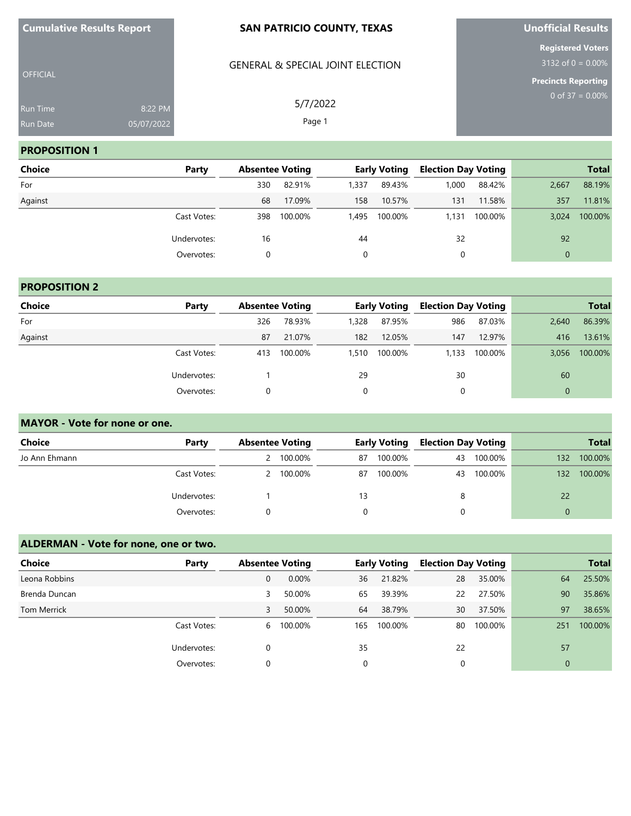| <b>Cumulative Results Report</b>   |                       | <b>SAN PATRICIO COUNTY, TEXAS</b>           | <b>Unofficial Results</b>                        |
|------------------------------------|-----------------------|---------------------------------------------|--------------------------------------------------|
| <b>OFFICIAL</b>                    |                       | <b>GENERAL &amp; SPECIAL JOINT ELECTION</b> | <b>Registered Voters</b><br>$3132$ of 0 = 0.00%  |
| <b>Run Time</b><br><b>Run Date</b> | 8:22 PM<br>05/07/2022 | 5/7/2022<br>Page 1                          | <b>Precincts Reporting</b><br>0 of $37 = 0.00\%$ |

**Unofficial Results**

#### **PROPOSITION 1**

**Cumulative Results Report**

| <b>Choice</b> | Party       |     | <b>Absentee Voting</b> |       | <b>Early Voting</b> | <b>Election Day Voting</b> |         |              | <b>Total</b> |
|---------------|-------------|-----|------------------------|-------|---------------------|----------------------------|---------|--------------|--------------|
| For           |             | 330 | 82.91%                 | 1,337 | 89.43%              | 1.000                      | 88.42%  | 2,667        | 88.19%       |
| Against       |             | 68  | 17.09%                 | 158   | 10.57%              | 131                        | 11.58%  | 357          | 11.81%       |
|               | Cast Votes: | 398 | 100.00%                | 1.495 | 100.00%             | 1.131                      | 100.00% | 3.024        | 100.00%      |
|               | Undervotes: | 16  |                        | 44    |                     | 32                         |         | 92           |              |
|               | Overvotes:  | 0   |                        | 0     |                     | 0                          |         | $\mathbf{0}$ |              |

# **PROPOSITION 2**

| <b>Choice</b> | Party       | <b>Absentee Voting</b> |         |          | <b>Early Voting</b> | <b>Election Day Voting</b> |         |       | <b>Total</b> |
|---------------|-------------|------------------------|---------|----------|---------------------|----------------------------|---------|-------|--------------|
| For           |             | 326                    | 78.93%  | 1,328    | 87.95%              | 986                        | 87.03%  | 2,640 | 86.39%       |
| Against       |             | 87                     | 21.07%  | 182      | 12.05%              | 147                        | 12.97%  | 416   | 13.61%       |
|               | Cast Votes: | 413                    | 100.00% | 1,510    | 100.00%             | 1.133                      | 100.00% | 3,056 | 100.00%      |
|               | Undervotes: |                        |         | 29       |                     | 30                         |         | 60    |              |
|               | Overvotes:  |                        |         | $\Omega$ |                     |                            |         |       |              |

### **MAYOR - Vote for none or one.**

| <b>Choice</b> | Party       | <b>Absentee Voting</b> |           |    | <b>Early Voting</b> | <b>Election Day Voting</b> |         |     | <b>Total</b> |
|---------------|-------------|------------------------|-----------|----|---------------------|----------------------------|---------|-----|--------------|
| Jo Ann Ehmann |             |                        | 100.00%   | 87 | 100.00%             | 43                         | 100.00% | 132 | 100.00%      |
|               | Cast Votes: |                        | 2 100.00% | 87 | 100.00%             | 43                         | 100.00% | 132 | 100.00%      |
|               | Undervotes: |                        |           | 13 |                     | 8                          |         | 22  |              |
|               | Overvotes:  |                        |           |    |                     |                            |         |     |              |

# **ALDERMAN - Vote for none, one or two.**

| <b>Choice</b>      | Party       | <b>Absentee Voting</b> |          |     | <b>Early Voting</b> | <b>Election Day Voting</b> |         |          | <b>Total</b> |
|--------------------|-------------|------------------------|----------|-----|---------------------|----------------------------|---------|----------|--------------|
| Leona Robbins      |             | 0                      | $0.00\%$ | 36  | 21.82%              | 28                         | 35.00%  | 64       | 25.50%       |
| Brenda Duncan      |             | 3                      | 50.00%   | 65  | 39.39%              | 22                         | 27.50%  | 90       | 35.86%       |
| <b>Tom Merrick</b> |             | 3                      | 50.00%   | 64  | 38.79%              | 30                         | 37.50%  | 97       | 38.65%       |
|                    | Cast Votes: | 6                      | 100.00%  | 165 | 100.00%             | 80                         | 100.00% | 251      | 100.00%      |
|                    | Undervotes: |                        |          | 35  |                     | 22                         |         | 57       |              |
|                    | Overvotes:  |                        |          |     |                     | 0                          |         | $\Omega$ |              |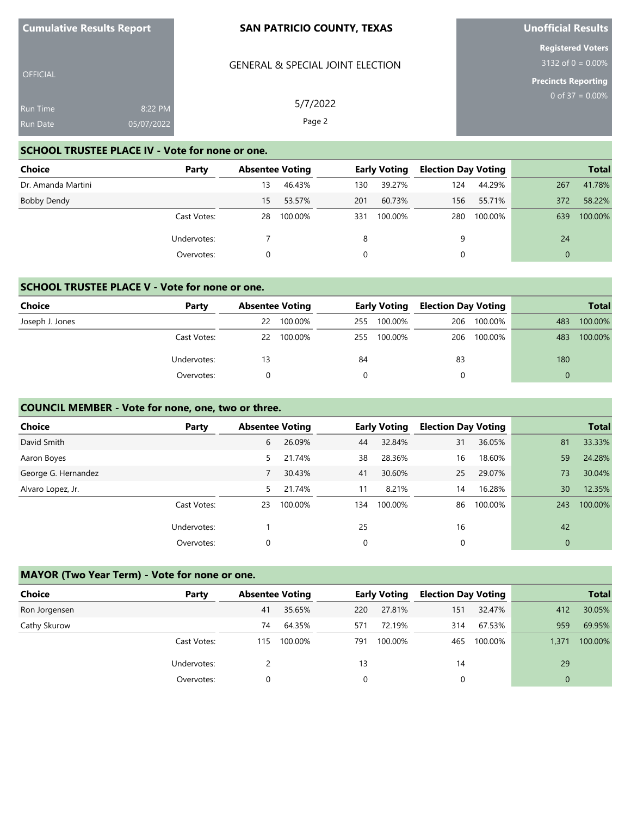| <b>Cumulative Results Report</b> |                       | <b>SAN PATRICIO COUNTY, TEXAS</b>                      | <b>Unofficial Results</b>                        |
|----------------------------------|-----------------------|--------------------------------------------------------|--------------------------------------------------|
| <b>OFFICIAL</b>                  |                       | <b>GENERAL &amp; SPECIAL JOINT ELECTION</b>            | <b>Registered Voters</b><br>$3132$ of 0 = 0.00%  |
| <b>Run Time</b><br>Run Date      | 8:22 PM<br>05/07/2022 | 5/7/2022<br>Page 2                                     | <b>Precincts Reporting</b><br>0 of $37 = 0.00\%$ |
|                                  |                       | <b>SCHOOL TRUSTEE PLACE IV - Vote for none or one.</b> |                                                  |

**Unofficial Results**

**Contract** 

| Choice             | Party       | <b>Absentee Voting</b> |         |     | <b>Early Voting</b> | <b>Election Day Voting</b> |         |          | <b>Total</b> |
|--------------------|-------------|------------------------|---------|-----|---------------------|----------------------------|---------|----------|--------------|
| Dr. Amanda Martini |             | 13                     | 46.43%  | 130 | 39.27%              | 124                        | 44.29%  | 267      | 41.78%       |
| Bobby Dendy        |             | 15.                    | 53.57%  | 201 | 60.73%              | 156                        | 55.71%  | 372      | 58.22%       |
|                    | Cast Votes: | 28                     | 100.00% | 331 | 100.00%             | 280                        | 100.00% | 639      | 100.00%      |
|                    | Undervotes: |                        |         | 8   |                     | 9                          |         | 24       |              |
|                    | Overvotes:  |                        |         | 0   |                     |                            |         | $\Omega$ |              |

# **SCHOOL TRUSTEE PLACE V - Vote for none or one.**

| <b>Choice</b>   | Party       |    | <b>Absentee Voting</b> |     | <b>Early Voting</b> | <b>Election Day Voting</b> |         |     | <b>Total</b> |
|-----------------|-------------|----|------------------------|-----|---------------------|----------------------------|---------|-----|--------------|
| Joseph J. Jones |             | 22 | 100.00%                | 255 | 100.00%             | 206                        | 100.00% | 483 | 100.00%      |
|                 | Cast Votes: | 22 | 100.00%                | 255 | 100.00%             | 206                        | 100.00% | 483 | 100.00%      |
|                 | Undervotes: | 13 |                        | 84  |                     | 83                         |         | 180 |              |
|                 | Overvotes:  |    |                        |     |                     |                            |         | 0   |              |

# **COUNCIL MEMBER - Vote for none, one, two or three.**

| <b>Choice</b>       | Party       |    | <b>Absentee Voting</b> |     | <b>Early Voting</b> | <b>Election Day Voting</b> |         |     | <b>Total</b> |
|---------------------|-------------|----|------------------------|-----|---------------------|----------------------------|---------|-----|--------------|
| David Smith         |             | 6  | 26.09%                 | 44  | 32.84%              | 31                         | 36.05%  | 81  | 33.33%       |
| Aaron Boyes         |             | 5. | 21.74%                 | 38  | 28.36%              | 16                         | 18.60%  | 59  | 24.28%       |
| George G. Hernandez |             |    | 30.43%                 | 41  | 30.60%              | 25                         | 29.07%  | 73  | 30.04%       |
| Alvaro Lopez, Jr.   |             | 5  | 21.74%                 | 11  | 8.21%               | 14                         | 16.28%  | 30  | 12.35%       |
|                     | Cast Votes: | 23 | 100.00%                | 134 | 100.00%             | 86                         | 100.00% | 243 | 100.00%      |
|                     | Undervotes: |    |                        | 25  |                     | 16                         |         | 42  |              |
|                     | Overvotes:  |    |                        | 0   |                     | 0                          |         | 0   |              |

# **MAYOR (Two Year Term) - Vote for none or one.**

| Choice        | Party       | <b>Absentee Voting</b> |         |     | <b>Early Voting</b> | <b>Election Day Voting</b> |         |       | <b>Total</b> |
|---------------|-------------|------------------------|---------|-----|---------------------|----------------------------|---------|-------|--------------|
| Ron Jorgensen |             | 41                     | 35.65%  | 220 | 27.81%              | 151                        | 32.47%  | 412   | 30.05%       |
| Cathy Skurow  |             | 74                     | 64.35%  | 571 | 72.19%              | 314                        | 67.53%  | 959   | 69.95%       |
|               | Cast Votes: | 115                    | 100.00% | 791 | 100.00%             | 465                        | 100.00% | 1,371 | 100.00%      |
|               | Undervotes: |                        |         | 13  |                     | 14                         |         | 29    |              |
|               | Overvotes:  |                        |         |     |                     |                            |         |       |              |